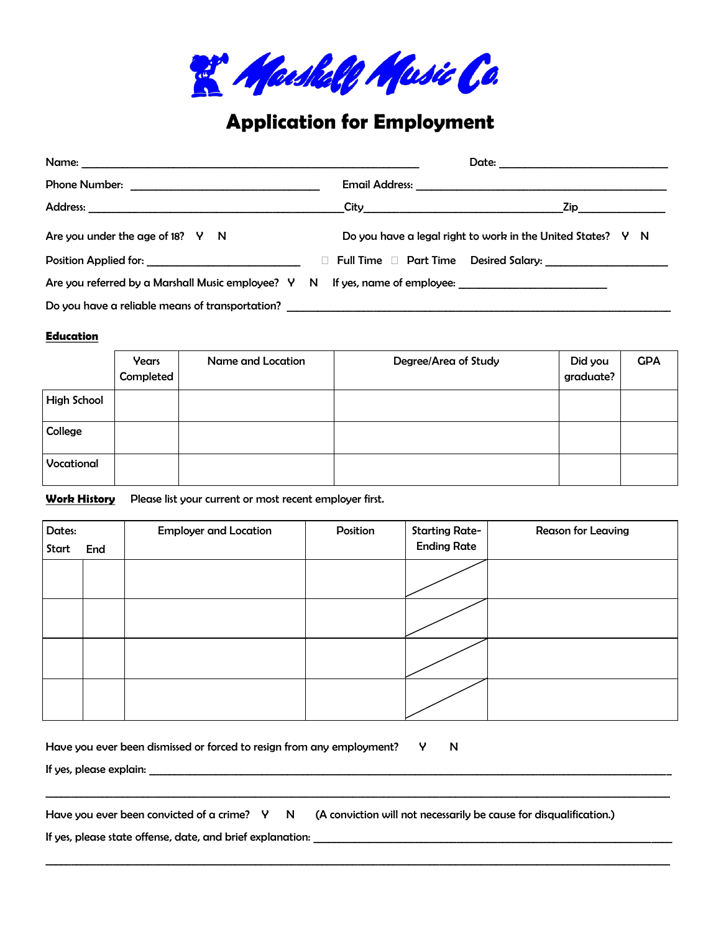

## **Application for Employment**

|                                                                                                      |  | $\mathsf{Zip}\_$                                                     |  |  |
|------------------------------------------------------------------------------------------------------|--|----------------------------------------------------------------------|--|--|
| Are you under the age of 18? Y N                                                                     |  | Do you have a legal right to work in the United States? $V \times N$ |  |  |
| <b>Position Applied for:</b> Position 2014                                                           |  |                                                                      |  |  |
| Are you referred by a Marshall Music employee? Y N If yes, name of employee: _______________________ |  |                                                                      |  |  |
| Do you have a reliable means of transportation? ________________________________                     |  |                                                                      |  |  |

## **Education**

|                    | Years<br>Completed | Name and Location | Degree/Area of Study | Did you<br>graduate? | <b>GPA</b> |
|--------------------|--------------------|-------------------|----------------------|----------------------|------------|
| <b>High School</b> |                    |                   |                      |                      |            |
| College            |                    |                   |                      |                      |            |
| Vocational         |                    |                   |                      |                      |            |

**Work History** Please list your current or most recent employer first.

| Dates:<br>Start | End | <b>Employer and Location</b> | Position | <b>Starting Rate-</b><br><b>Ending Rate</b> | Reason for Leaving |
|-----------------|-----|------------------------------|----------|---------------------------------------------|--------------------|
|                 |     |                              |          |                                             |                    |
|                 |     |                              |          |                                             |                    |
|                 |     |                              |          |                                             |                    |
|                 |     |                              |          |                                             |                    |

Have you ever been dismissed or forced to resign from any employment? Y N

If yes, please explain: \_\_\_\_\_\_\_\_\_\_\_\_\_\_\_\_\_\_\_\_\_\_\_\_\_\_\_\_\_\_\_\_\_\_\_\_\_\_\_\_\_\_\_\_\_\_\_\_\_\_\_\_\_\_\_\_\_\_\_\_\_\_\_\_\_\_\_\_\_\_\_\_\_\_\_\_\_\_\_\_\_\_\_\_\_\_\_\_\_\_\_\_\_\_\_\_\_\_\_\_\_\_

Have you ever been convicted of a crime? Y N (A conviction will not necessarily be cause for disqualification.)

\_\_\_\_\_\_\_\_\_\_\_\_\_\_\_\_\_\_\_\_\_\_\_\_\_\_\_\_\_\_\_\_\_\_\_\_\_\_\_\_\_\_\_\_\_\_\_\_\_\_\_\_\_\_\_\_\_\_\_\_\_\_\_\_\_\_\_\_\_\_\_\_\_\_\_\_\_\_\_\_\_\_\_\_\_\_\_\_\_\_\_\_\_\_\_\_\_\_\_\_\_\_\_\_\_\_\_\_\_\_\_\_\_\_\_\_\_\_\_\_\_\_

\_\_\_\_\_\_\_\_\_\_\_\_\_\_\_\_\_\_\_\_\_\_\_\_\_\_\_\_\_\_\_\_\_\_\_\_\_\_\_\_\_\_\_\_\_\_\_\_\_\_\_\_\_\_\_\_\_\_\_\_\_\_\_\_\_\_\_\_\_\_\_\_\_\_\_\_\_\_\_\_\_\_\_\_\_\_\_\_\_\_\_\_\_\_\_\_\_\_\_\_\_\_\_\_\_\_\_\_\_\_\_\_\_\_\_\_\_\_\_\_\_\_

If yes, please state offense, date, and brief explanation: \_\_\_\_\_\_\_\_\_\_\_\_\_\_\_\_\_\_\_\_\_\_\_\_\_\_\_\_\_\_\_\_\_\_\_\_\_\_\_\_\_\_\_\_\_\_\_\_\_\_\_\_\_\_\_\_\_\_\_\_\_\_\_\_\_\_\_\_\_\_